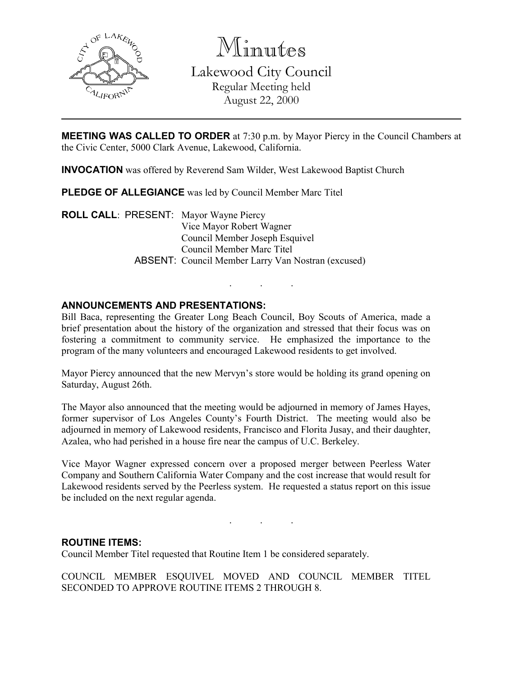

Minutes

Lakewood City Council Regular Meeting held August 22, 2000

MEETING WAS CALLED TO ORDER at 7:30 p.m. by Mayor Piercy in the Council Chambers at the Civic Center, 5000 Clark Avenue, Lakewood, California.

INVOCATION was offered by Reverend Sam Wilder, West Lakewood Baptist Church

PLEDGE OF ALLEGIANCE was led by Council Member Marc Titel

ROLL CALL: PRESENT: Mayor Wayne Piercy Vice Mayor Robert Wagner Council Member Joseph Esquivel Council Member Marc Titel ABSENT: Council Member Larry Van Nostran (excused)

# ANNOUNCEMENTS AND PRESENTATIONS:

Bill Baca, representing the Greater Long Beach Council, Boy Scouts of America, made a brief presentation about the history of the organization and stressed that their focus was on fostering a commitment to community service. He emphasized the importance to the program of the many volunteers and encouraged Lakewood residents to get involved.

. . .

Mayor Piercy announced that the new Mervyn's store would be holding its grand opening on Saturday, August 26th.

The Mayor also announced that the meeting would be adjourned in memory of James Hayes, former supervisor of Los Angeles County's Fourth District. The meeting would also be adjourned in memory of Lakewood residents, Francisco and Florita Jusay, and their daughter, Azalea, who had perished in a house fire near the campus of U.C. Berkeley.

Vice Mayor Wagner expressed concern over a proposed merger between Peerless Water Company and Southern California Water Company and the cost increase that would result for Lakewood residents served by the Peerless system. He requested a status report on this issue be included on the next regular agenda.

. . .

## ROUTINE ITEMS:

Council Member Titel requested that Routine Item 1 be considered separately.

COUNCIL MEMBER ESQUIVEL MOVED AND COUNCIL MEMBER TITEL SECONDED TO APPROVE ROUTINE ITEMS 2 THROUGH 8.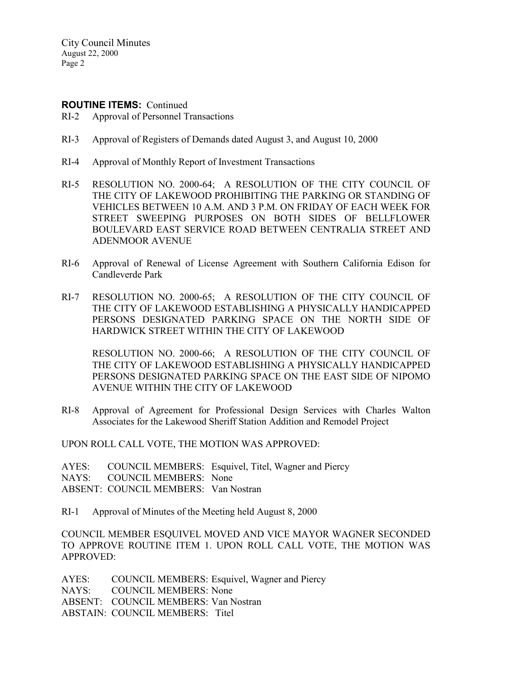City Council Minutes August 22, 2000 Page 2

### ROUTINE ITEMS: Continued

- RI-2 Approval of Personnel Transactions
- RI-3 Approval of Registers of Demands dated August 3, and August 10, 2000
- RI-4 Approval of Monthly Report of Investment Transactions
- RI-5 RESOLUTION NO. 2000-64; A RESOLUTION OF THE CITY COUNCIL OF THE CITY OF LAKEWOOD PROHIBITING THE PARKING OR STANDING OF VEHICLES BETWEEN 10 A.M. AND 3 P.M. ON FRIDAY OF EACH WEEK FOR STREET SWEEPING PURPOSES ON BOTH SIDES OF BELLFLOWER BOULEVARD EAST SERVICE ROAD BETWEEN CENTRALIA STREET AND ADENMOOR AVENUE
- RI-6 Approval of Renewal of License Agreement with Southern California Edison for Candleverde Park
- RI-7 RESOLUTION NO. 2000-65; A RESOLUTION OF THE CITY COUNCIL OF THE CITY OF LAKEWOOD ESTABLISHING A PHYSICALLY HANDICAPPED PERSONS DESIGNATED PARKING SPACE ON THE NORTH SIDE OF HARDWICK STREET WITHIN THE CITY OF LAKEWOOD

RESOLUTION NO. 2000-66; A RESOLUTION OF THE CITY COUNCIL OF THE CITY OF LAKEWOOD ESTABLISHING A PHYSICALLY HANDICAPPED PERSONS DESIGNATED PARKING SPACE ON THE EAST SIDE OF NIPOMO AVENUE WITHIN THE CITY OF LAKEWOOD

RI-8 Approval of Agreement for Professional Design Services with Charles Walton Associates for the Lakewood Sheriff Station Addition and Remodel Project

UPON ROLL CALL VOTE, THE MOTION WAS APPROVED:

AYES: COUNCIL MEMBERS: Esquivel, Titel, Wagner and Piercy NAYS: COUNCIL MEMBERS: None ABSENT: COUNCIL MEMBERS: Van Nostran

RI-1 Approval of Minutes of the Meeting held August 8, 2000

COUNCIL MEMBER ESQUIVEL MOVED AND VICE MAYOR WAGNER SECONDED TO APPROVE ROUTINE ITEM 1. UPON ROLL CALL VOTE, THE MOTION WAS APPROVED:

AYES: COUNCIL MEMBERS: Esquivel, Wagner and Piercy NAYS: COUNCIL MEMBERS: None ABSENT: COUNCIL MEMBERS: Van Nostran ABSTAIN: COUNCIL MEMBERS: Titel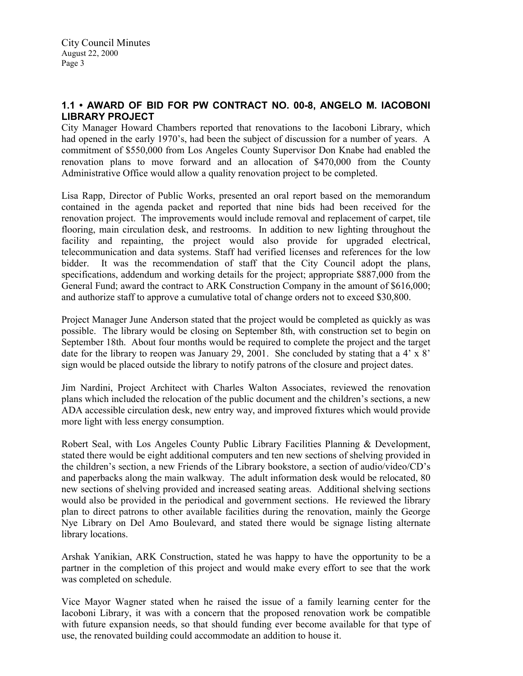# 1.1 • AWARD OF BID FOR PW CONTRACT NO. 00-8, ANGELO M. IACOBONI LIBRARY PROJECT

City Manager Howard Chambers reported that renovations to the Iacoboni Library, which had opened in the early 1970's, had been the subject of discussion for a number of years. A commitment of \$550,000 from Los Angeles County Supervisor Don Knabe had enabled the renovation plans to move forward and an allocation of \$470,000 from the County Administrative Office would allow a quality renovation project to be completed.

Lisa Rapp, Director of Public Works, presented an oral report based on the memorandum contained in the agenda packet and reported that nine bids had been received for the renovation project. The improvements would include removal and replacement of carpet, tile flooring, main circulation desk, and restrooms. In addition to new lighting throughout the facility and repainting, the project would also provide for upgraded electrical, telecommunication and data systems. Staff had verified licenses and references for the low bidder. It was the recommendation of staff that the City Council adopt the plans, specifications, addendum and working details for the project; appropriate \$887,000 from the General Fund; award the contract to ARK Construction Company in the amount of \$616,000; and authorize staff to approve a cumulative total of change orders not to exceed \$30,800.

Project Manager June Anderson stated that the project would be completed as quickly as was possible. The library would be closing on September 8th, with construction set to begin on September 18th. About four months would be required to complete the project and the target date for the library to reopen was January 29, 2001. She concluded by stating that a  $4' \times 8'$ sign would be placed outside the library to notify patrons of the closure and project dates.

Jim Nardini, Project Architect with Charles Walton Associates, reviewed the renovation plans which included the relocation of the public document and the children's sections, a new ADA accessible circulation desk, new entry way, and improved fixtures which would provide more light with less energy consumption.

Robert Seal, with Los Angeles County Public Library Facilities Planning & Development, stated there would be eight additional computers and ten new sections of shelving provided in the children's section, a new Friends of the Library bookstore, a section of audio/video/CD's and paperbacks along the main walkway. The adult information desk would be relocated, 80 new sections of shelving provided and increased seating areas. Additional shelving sections would also be provided in the periodical and government sections. He reviewed the library plan to direct patrons to other available facilities during the renovation, mainly the George Nye Library on Del Amo Boulevard, and stated there would be signage listing alternate library locations.

Arshak Yanikian, ARK Construction, stated he was happy to have the opportunity to be a partner in the completion of this project and would make every effort to see that the work was completed on schedule.

Vice Mayor Wagner stated when he raised the issue of a family learning center for the Iacoboni Library, it was with a concern that the proposed renovation work be compatible with future expansion needs, so that should funding ever become available for that type of use, the renovated building could accommodate an addition to house it.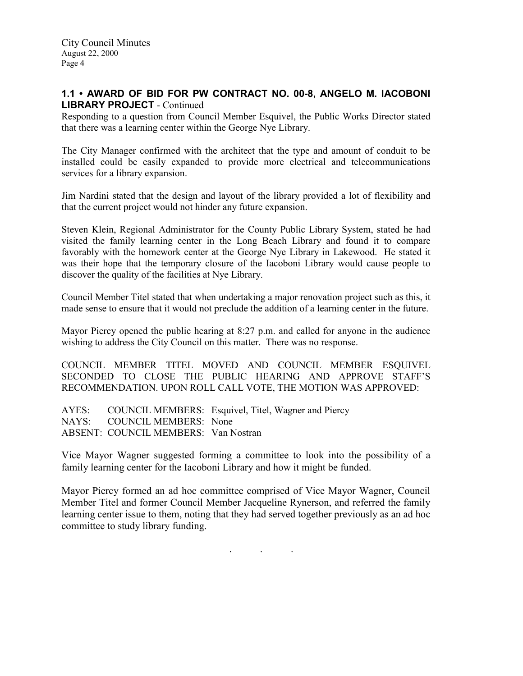City Council Minutes August 22, 2000 Page 4

## 1.1 • AWARD OF BID FOR PW CONTRACT NO. 00-8, ANGELO M. IACOBONI LIBRARY PROJECT - Continued

Responding to a question from Council Member Esquivel, the Public Works Director stated that there was a learning center within the George Nye Library.

The City Manager confirmed with the architect that the type and amount of conduit to be installed could be easily expanded to provide more electrical and telecommunications services for a library expansion.

Jim Nardini stated that the design and layout of the library provided a lot of flexibility and that the current project would not hinder any future expansion.

Steven Klein, Regional Administrator for the County Public Library System, stated he had visited the family learning center in the Long Beach Library and found it to compare favorably with the homework center at the George Nye Library in Lakewood. He stated it was their hope that the temporary closure of the Iacoboni Library would cause people to discover the quality of the facilities at Nye Library.

Council Member Titel stated that when undertaking a major renovation project such as this, it made sense to ensure that it would not preclude the addition of a learning center in the future.

Mayor Piercy opened the public hearing at 8:27 p.m. and called for anyone in the audience wishing to address the City Council on this matter. There was no response.

COUNCIL MEMBER TITEL MOVED AND COUNCIL MEMBER ESQUIVEL SECONDED TO CLOSE THE PUBLIC HEARING AND APPROVE STAFF'S RECOMMENDATION. UPON ROLL CALL VOTE, THE MOTION WAS APPROVED:

AYES: COUNCIL MEMBERS: Esquivel, Titel, Wagner and Piercy NAYS: COUNCIL MEMBERS: None ABSENT: COUNCIL MEMBERS: Van Nostran

Vice Mayor Wagner suggested forming a committee to look into the possibility of a family learning center for the Iacoboni Library and how it might be funded.

Mayor Piercy formed an ad hoc committee comprised of Vice Mayor Wagner, Council Member Titel and former Council Member Jacqueline Rynerson, and referred the family learning center issue to them, noting that they had served together previously as an ad hoc committee to study library funding.

 $\mathbf{r}$  .  $\mathbf{r}$  ,  $\mathbf{r}$  ,  $\mathbf{r}$  ,  $\mathbf{r}$  ,  $\mathbf{r}$  ,  $\mathbf{r}$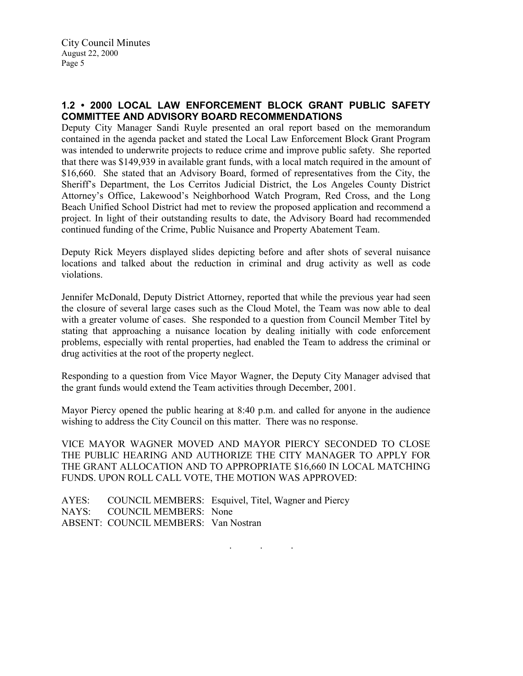# 1.2 • 2000 LOCAL LAW ENFORCEMENT BLOCK GRANT PUBLIC SAFETY COMMITTEE AND ADVISORY BOARD RECOMMENDATIONS

Deputy City Manager Sandi Ruyle presented an oral report based on the memorandum contained in the agenda packet and stated the Local Law Enforcement Block Grant Program was intended to underwrite projects to reduce crime and improve public safety. She reported that there was \$149,939 in available grant funds, with a local match required in the amount of \$16,660. She stated that an Advisory Board, formed of representatives from the City, the Sheriff's Department, the Los Cerritos Judicial District, the Los Angeles County District Attorney's Office, Lakewood's Neighborhood Watch Program, Red Cross, and the Long Beach Unified School District had met to review the proposed application and recommend a project. In light of their outstanding results to date, the Advisory Board had recommended continued funding of the Crime, Public Nuisance and Property Abatement Team.

Deputy Rick Meyers displayed slides depicting before and after shots of several nuisance locations and talked about the reduction in criminal and drug activity as well as code violations.

Jennifer McDonald, Deputy District Attorney, reported that while the previous year had seen the closure of several large cases such as the Cloud Motel, the Team was now able to deal with a greater volume of cases. She responded to a question from Council Member Titel by stating that approaching a nuisance location by dealing initially with code enforcement problems, especially with rental properties, had enabled the Team to address the criminal or drug activities at the root of the property neglect.

Responding to a question from Vice Mayor Wagner, the Deputy City Manager advised that the grant funds would extend the Team activities through December, 2001.

Mayor Piercy opened the public hearing at 8:40 p.m. and called for anyone in the audience wishing to address the City Council on this matter. There was no response.

VICE MAYOR WAGNER MOVED AND MAYOR PIERCY SECONDED TO CLOSE THE PUBLIC HEARING AND AUTHORIZE THE CITY MANAGER TO APPLY FOR THE GRANT ALLOCATION AND TO APPROPRIATE \$16,660 IN LOCAL MATCHING FUNDS. UPON ROLL CALL VOTE, THE MOTION WAS APPROVED:

AYES: COUNCIL MEMBERS: Esquivel, Titel, Wagner and Piercy NAYS: COUNCIL MEMBERS: None ABSENT: COUNCIL MEMBERS: Van Nostran

. . .